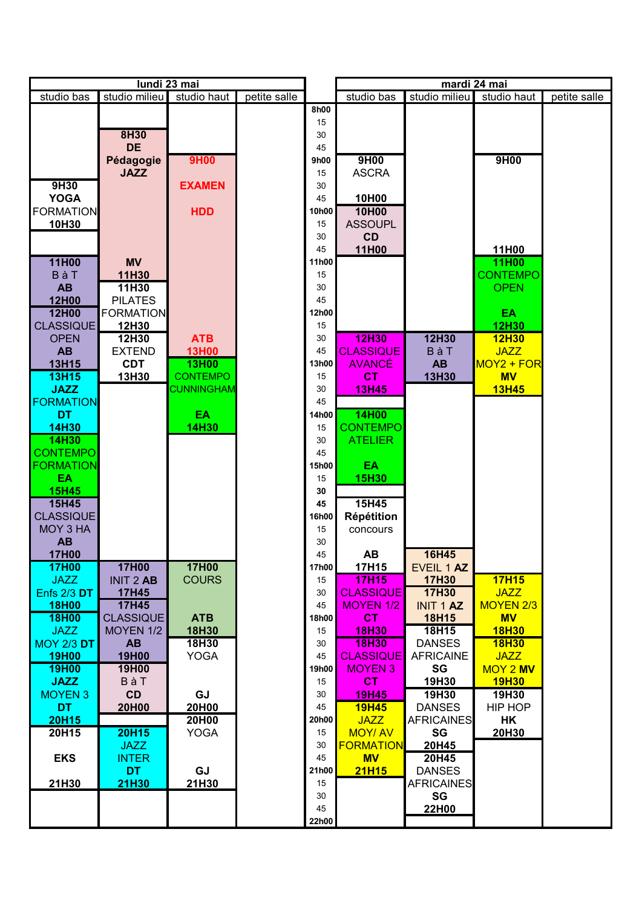| studio milieu<br>studio milieu<br>studio bas<br>studio haut<br>petite salle<br>studio bas<br>studio haut<br>8h00<br>15<br>8H30<br>30<br><b>DE</b><br>45<br><b>9H00</b><br>9H00<br>9H00<br>Pédagogie<br>9h00<br><b>ASCRA</b><br><b>JAZZ</b><br>15<br>9H30<br><b>EXAMEN</b><br>30<br><b>YOGA</b><br>10H00<br>45<br>10H00<br><b>FORMATION</b><br><b>HDD</b><br>10h00<br>10H30<br><b>ASSOUPL</b><br>15 | petite salle |
|----------------------------------------------------------------------------------------------------------------------------------------------------------------------------------------------------------------------------------------------------------------------------------------------------------------------------------------------------------------------------------------------------|--------------|
|                                                                                                                                                                                                                                                                                                                                                                                                    |              |
|                                                                                                                                                                                                                                                                                                                                                                                                    |              |
|                                                                                                                                                                                                                                                                                                                                                                                                    |              |
|                                                                                                                                                                                                                                                                                                                                                                                                    |              |
|                                                                                                                                                                                                                                                                                                                                                                                                    |              |
|                                                                                                                                                                                                                                                                                                                                                                                                    |              |
|                                                                                                                                                                                                                                                                                                                                                                                                    |              |
|                                                                                                                                                                                                                                                                                                                                                                                                    |              |
|                                                                                                                                                                                                                                                                                                                                                                                                    |              |
|                                                                                                                                                                                                                                                                                                                                                                                                    |              |
|                                                                                                                                                                                                                                                                                                                                                                                                    |              |
| <b>CD</b><br>30                                                                                                                                                                                                                                                                                                                                                                                    |              |
| 11H00<br>45<br>11H00                                                                                                                                                                                                                                                                                                                                                                               |              |
| 11H00<br>11H00<br><b>MV</b><br>11h00                                                                                                                                                                                                                                                                                                                                                               |              |
| BàT<br><b>CONTEMPO</b><br>11H30<br>15                                                                                                                                                                                                                                                                                                                                                              |              |
| <b>AB</b><br>11H30<br><b>OPEN</b><br>30                                                                                                                                                                                                                                                                                                                                                            |              |
| 12H00<br><b>PILATES</b><br>45                                                                                                                                                                                                                                                                                                                                                                      |              |
| 12H00<br><b>FORMATION</b><br>12h00<br><b>EA</b>                                                                                                                                                                                                                                                                                                                                                    |              |
| <b>CLASSIQUE</b><br>12H30<br>15<br><b>12H30</b>                                                                                                                                                                                                                                                                                                                                                    |              |
| <b>12H30</b><br><b>OPEN</b><br>12H30<br><b>ATB</b><br>30<br>12H30<br><b>12H30</b>                                                                                                                                                                                                                                                                                                                  |              |
| <b>AB</b><br><b>CLASSIQUE</b><br><b>BàT</b><br><b>EXTEND</b><br><b>13H00</b><br>45<br><b>JAZZ</b>                                                                                                                                                                                                                                                                                                  |              |
| <b>CDT</b><br>13H00<br><b>AVANCÉ</b><br><b>AB</b><br>$MOY2 + FOR$<br>13H15<br>13h00                                                                                                                                                                                                                                                                                                                |              |
| <b>CONTEMPO</b><br><b>13H15</b><br>CT<br><b>MV</b><br>13H30<br>13H30<br>15                                                                                                                                                                                                                                                                                                                         |              |
| <b>JAZZ</b><br><b>13H45</b><br><b>CUNNINGHAM</b><br>30<br><b>13H45</b>                                                                                                                                                                                                                                                                                                                             |              |
| <b>FORMATION</b><br>45                                                                                                                                                                                                                                                                                                                                                                             |              |
| 14H00<br><b>DT</b><br><b>EA</b><br>14h00                                                                                                                                                                                                                                                                                                                                                           |              |
| <b>14H30</b><br>14H30<br>CONTEMPO<br>15                                                                                                                                                                                                                                                                                                                                                            |              |
| 14H30<br><b>ATELIER</b><br>30                                                                                                                                                                                                                                                                                                                                                                      |              |
| <b>CONTEMPO</b><br>45                                                                                                                                                                                                                                                                                                                                                                              |              |
| <b>FORMATION</b><br>EA<br>15h00                                                                                                                                                                                                                                                                                                                                                                    |              |
| <b>EA</b><br>15<br><b>15H30</b>                                                                                                                                                                                                                                                                                                                                                                    |              |
| <b>15H45</b><br>30                                                                                                                                                                                                                                                                                                                                                                                 |              |
| 15H45<br>15H45<br>45                                                                                                                                                                                                                                                                                                                                                                               |              |
| <b>CLASSIQUE</b><br>16h00<br>Répétition                                                                                                                                                                                                                                                                                                                                                            |              |
| MOY 3 HA<br>15<br>concours                                                                                                                                                                                                                                                                                                                                                                         |              |
| <b>AB</b><br>30                                                                                                                                                                                                                                                                                                                                                                                    |              |
| <b>16H45</b><br><b>AB</b><br><b>17H00</b><br>45                                                                                                                                                                                                                                                                                                                                                    |              |
| 17H15<br><b>17H00</b><br>17h00<br>EVEIL 1 AZ<br><b>17H00</b><br><b>17H00</b>                                                                                                                                                                                                                                                                                                                       |              |
| <b>17H15</b><br><b>JAZZ</b><br><b>INIT 2 AB</b><br><b>COURS</b><br><b>17H30</b><br><b>17H15</b><br>15                                                                                                                                                                                                                                                                                              |              |
| <b>Enfs 2/3 DT</b><br><b>17H30</b><br><b>CLASSIQUE</b><br><b>JAZZ</b><br>17H45<br>30                                                                                                                                                                                                                                                                                                               |              |
| <b>MOYEN 1/2</b><br><b>18H00</b><br><b>17H45</b><br><b>MOYEN 2/3</b><br>45<br><b>INIT 1 AZ</b>                                                                                                                                                                                                                                                                                                     |              |
| <b>18H00</b><br><b>CLASSIQUE</b><br><b>ATB</b><br><b>CT</b><br><b>18H15</b><br><b>MV</b><br>18h00                                                                                                                                                                                                                                                                                                  |              |
| <b>JAZZ</b><br>MOYEN 1/2<br>18H30<br><b>18H30</b><br>18H15<br><b>18H30</b><br>15                                                                                                                                                                                                                                                                                                                   |              |
| <b>MOY 2/3 DT</b><br>AB<br>18H30<br><b>18H30</b><br><b>DANSES</b><br><b>18H30</b><br>30<br><b>19H00</b><br><b>AFRICAINE</b>                                                                                                                                                                                                                                                                        |              |
| <b>19H00</b><br><b>YOGA</b><br><b>CLASSIQUE</b><br><b>JAZZ</b><br>45<br>19H00<br><b>MOYEN 3</b><br>SG<br><b>MOY 2 MV</b><br>19h00                                                                                                                                                                                                                                                                  |              |
| 19H00<br><b>JAZZ</b><br>BàT<br><b>CT</b><br>19H30<br><b>19H30</b><br>15                                                                                                                                                                                                                                                                                                                            |              |
| <b>CD</b><br><b>GJ</b><br>19H30<br><b>MOYEN 3</b><br><b>19H45</b><br>19H30<br>30                                                                                                                                                                                                                                                                                                                   |              |
| <b>DT</b><br>20H00<br><b>19H45</b><br><b>DANSES</b><br>HIP HOP<br>20H00<br>45                                                                                                                                                                                                                                                                                                                      |              |
| 20H00<br><b>20H15</b><br>20h00<br><b>JAZZ</b><br><b>AFRICAINES</b><br>HK                                                                                                                                                                                                                                                                                                                           |              |
| 20H15<br><b>YOGA</b><br><b>MOY/AV</b><br>SG<br>20H15<br>20H30<br>15                                                                                                                                                                                                                                                                                                                                |              |
| <b>JAZZ</b><br>30<br><b>FORMATION</b><br>20H45                                                                                                                                                                                                                                                                                                                                                     |              |
| <b>EKS</b><br><b>INTER</b><br><b>MV</b><br>20H45<br>45                                                                                                                                                                                                                                                                                                                                             |              |
| <b>DT</b><br>GJ<br><b>21H15</b><br><b>DANSES</b><br>21h00                                                                                                                                                                                                                                                                                                                                          |              |
| 21H30<br>21H30<br>21H30<br><b>AFRICAINES</b><br>15                                                                                                                                                                                                                                                                                                                                                 |              |
| SG<br>30                                                                                                                                                                                                                                                                                                                                                                                           |              |
| 22H00<br>45                                                                                                                                                                                                                                                                                                                                                                                        |              |
| 22h00                                                                                                                                                                                                                                                                                                                                                                                              |              |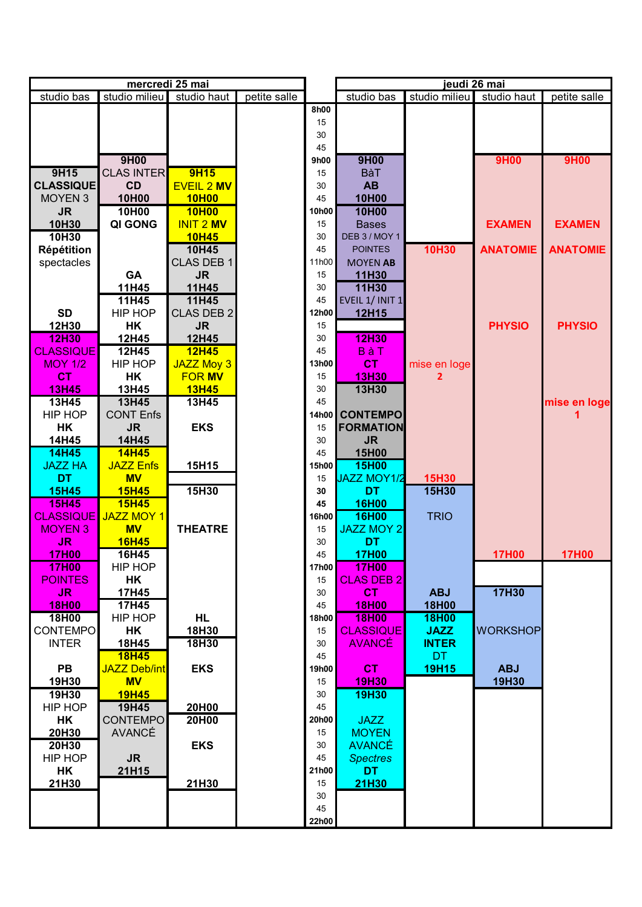| mercredi 25 mai  |                     |                   |              |       |                    | jeudi 26 mai  |                 |                 |
|------------------|---------------------|-------------------|--------------|-------|--------------------|---------------|-----------------|-----------------|
| studio bas       | studio milieu       | studio haut       | petite salle |       | studio bas         | studio milieu | studio haut     | petite salle    |
|                  |                     |                   |              | 8h00  |                    |               |                 |                 |
|                  |                     |                   |              | 15    |                    |               |                 |                 |
|                  |                     |                   |              | 30    |                    |               |                 |                 |
|                  |                     |                   |              | 45    |                    |               |                 |                 |
|                  | 9H00                |                   |              | 9h00  | 9H00               |               | <b>9H00</b>     | <b>9H00</b>     |
| 9H15             | <b>CLAS INTER</b>   | <b>9H15</b>       |              | 15    | <b>BàT</b>         |               |                 |                 |
|                  | CD                  |                   |              | 30    | <b>AB</b>          |               |                 |                 |
| <b>CLASSIQUE</b> |                     | <b>EVEIL 2 MV</b> |              |       |                    |               |                 |                 |
| <b>MOYEN 3</b>   | 10H00               | <b>10H00</b>      |              | 45    | 10H00              |               |                 |                 |
| <b>JR</b>        | 10H00               | <b>10H00</b>      |              | 10h00 | 10H00              |               |                 |                 |
| 10H30            | QI GONG             | <b>INIT 2 MV</b>  |              | 15    | <b>Bases</b>       |               | <b>EXAMEN</b>   | <b>EXAMEN</b>   |
| 10H30            |                     | <b>10H45</b>      |              | 30    | DEB 3 / MOY 1      |               |                 |                 |
| Répétition       |                     | 10H45             |              | 45    | <b>POINTES</b>     | 10H30         | <b>ANATOMIE</b> | <b>ANATOMIE</b> |
| spectacles       |                     | <b>CLAS DEB 1</b> |              | 11h00 | <b>MOYEN AB</b>    |               |                 |                 |
|                  | <b>GA</b>           | <b>JR</b>         |              | 15    | 11H30              |               |                 |                 |
|                  | 11H45               | 11H45             |              | 30    | 11H30              |               |                 |                 |
|                  | 11H45               | 11H45             |              | 45    | EVEIL 1/ INIT 1    |               |                 |                 |
| <b>SD</b>        | <b>HIP HOP</b>      | <b>CLAS DEB 2</b> |              | 12h00 | 12H15              |               |                 |                 |
| 12H30            | HK                  | <b>JR</b>         |              | 15    |                    |               | <b>PHYSIO</b>   | <b>PHYSIO</b>   |
| <b>12H30</b>     | 12H45               | 12H45             |              | 30    | <b>12H30</b>       |               |                 |                 |
| <b>CLASSIQUE</b> | 12H45               | <b>12H45</b>      |              | 45    | <b>BàT</b>         |               |                 |                 |
|                  |                     |                   |              |       |                    |               |                 |                 |
| <b>MOY 1/2</b>   | HIP HOP             | <b>JAZZ Moy 3</b> |              | 13h00 | <b>CT</b>          | mise en loge  |                 |                 |
| <b>CT</b>        | HK                  | <b>FOR MV</b>     |              | 15    | <b>13H30</b>       |               |                 |                 |
| <b>13H45</b>     | 13H45               | <b>13H45</b>      |              | 30    | 13H30              |               |                 |                 |
| 13H45            | 13H45               | 13H45             |              | 45    |                    |               |                 | mise en loge    |
| HIP HOP          | <b>CONT Enfs</b>    |                   |              | 14h00 | <b>CONTEMPO</b>    |               |                 |                 |
| HK               | <b>JR</b>           | <b>EKS</b>        |              | 15    | <b>FORMATION</b>   |               |                 |                 |
| 14H45            | 14H45               |                   |              | 30    | <b>JR</b>          |               |                 |                 |
| 14H45            | <b>14H45</b>        |                   |              | 45    | 15H00              |               |                 |                 |
| <b>JAZZ HA</b>   | <b>JAZZ Enfs</b>    | 15H15             |              | 15h00 | 15H00              |               |                 |                 |
| <b>DT</b>        | <b>MV</b>           |                   |              | 15    | <b>JAZZ MOY1/2</b> | 15H30         |                 |                 |
| <b>15H45</b>     | <b>15H45</b>        | 15H30             |              | 30    | <b>DT</b>          | 15H30         |                 |                 |
| <b>15H45</b>     | <b>15H45</b>        |                   |              | 45    | 16H00              |               |                 |                 |
|                  |                     |                   |              | 16h00 |                    |               |                 |                 |
| <b>CLASSIQUE</b> | <b>JAZZ MOY 1</b>   |                   |              |       | <b>16H00</b>       | <b>TRIO</b>   |                 |                 |
| <b>MOYEN 3</b>   | <b>MV</b>           | <b>THEATRE</b>    |              | 15    | <b>JAZZ MOY 2</b>  |               |                 |                 |
| <b>JR</b>        | <b>16H45</b>        |                   |              | 30    | <b>DT</b>          |               |                 |                 |
| <b>17H00</b>     | 16H45               |                   |              | 45    | <b>17H00</b>       |               | <b>17H00</b>    | <b>17H00</b>    |
| <b>17H00</b>     | HIP HOP             |                   |              | 17h00 | <b>17H00</b>       |               |                 |                 |
| <b>POINTES</b>   | HK                  |                   |              | 15    | <b>CLAS DEB 2</b>  |               |                 |                 |
| JR.              | 17H45               |                   |              | 30    | CT.                | <b>ABJ</b>    | 17H30           |                 |
| <b>18H00</b>     | 17H45               |                   |              | 45    | <b>18H00</b>       | <b>18H00</b>  |                 |                 |
| 18H00            | HIP HOP             | HL.               |              | 18h00 | <b>18H00</b>       | <b>18H00</b>  |                 |                 |
| <b>CONTEMPO</b>  | HK                  | 18H30             |              | 15    | <b>CLASSIQUE</b>   | <b>JAZZ</b>   | <b>WORKSHOP</b> |                 |
| <b>INTER</b>     | 18H45               | 18H30             |              | 30    | <b>AVANCÉ</b>      | <b>INTER</b>  |                 |                 |
|                  | <b>18H45</b>        |                   |              | 45    |                    | DT.           |                 |                 |
| <b>PB</b>        | <b>JAZZ Deb/int</b> | <b>EKS</b>        |              | 19h00 | <b>CT</b>          | <b>19H15</b>  | <b>ABJ</b>      |                 |
|                  | <b>MV</b>           |                   |              | 15    | <b>19H30</b>       |               | 19H30           |                 |
| 19H30            |                     |                   |              |       |                    |               |                 |                 |
| 19H30            | <b>19H45</b>        |                   |              | 30    | <b>19H30</b>       |               |                 |                 |
| HIP HOP          | 19H45               | 20H00             |              | 45    |                    |               |                 |                 |
| HK               | <b>CONTEMPO</b>     | 20H00             |              | 20h00 | <b>JAZZ</b>        |               |                 |                 |
| 20H30            | <b>AVANCÉ</b>       |                   |              | 15    | <b>MOYEN</b>       |               |                 |                 |
| 20H30            |                     | <b>EKS</b>        |              | 30    | <b>AVANCÉ</b>      |               |                 |                 |
| HIP HOP          | <b>JR</b>           |                   |              | 45    | <b>Spectres</b>    |               |                 |                 |
| HK               | 21H15               |                   |              | 21h00 | <b>DT</b>          |               |                 |                 |
| 21H30            |                     | 21H30             |              | 15    | 21H30              |               |                 |                 |
|                  |                     |                   |              | 30    |                    |               |                 |                 |
|                  |                     |                   |              | 45    |                    |               |                 |                 |
|                  |                     |                   |              | 22h00 |                    |               |                 |                 |
|                  |                     |                   |              |       |                    |               |                 |                 |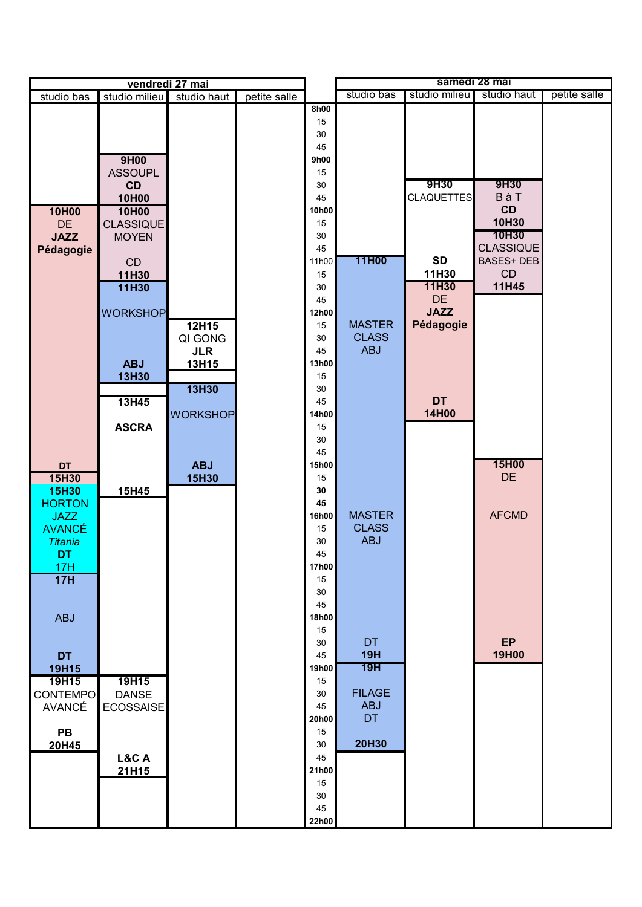| vendredi 27 mai              |                    |                 |              | samedi 28 mai          |               |                           |                         |              |
|------------------------------|--------------------|-----------------|--------------|------------------------|---------------|---------------------------|-------------------------|--------------|
| studio bas                   | studio milieu      | studio haut     | petite salle |                        | studio bas    | studio milieu             | studio haut             | petite salle |
|                              |                    |                 |              | 8h00<br>15<br>30<br>45 |               |                           |                         |              |
|                              | 9H00               |                 |              | 9h00                   |               |                           |                         |              |
|                              | <b>ASSOUPL</b>     |                 |              | 15                     |               |                           |                         |              |
|                              | <b>CD</b><br>10H00 |                 |              | 30<br>45               |               | 9H30<br><b>CLAQUETTES</b> | 9H30<br>BàT             |              |
| 10H00                        | 10H00              |                 |              | 10h00                  |               |                           | CD                      |              |
| <b>DE</b>                    | <b>CLASSIQUE</b>   |                 |              | 15                     |               |                           | 10H30                   |              |
| <b>JAZZ</b>                  | <b>MOYEN</b>       |                 |              | 30                     |               |                           | 10H30                   |              |
| Pédagogie                    |                    |                 |              | 45                     |               |                           | <b>CLASSIQUE</b>        |              |
|                              | CD                 |                 |              | 11h00                  | 11H00         | <b>SD</b><br>11H30        | <b>BASES+ DEB</b><br>CD |              |
|                              | 11H30<br>11H30     |                 |              | 15<br>30               |               | 11H30                     | 11H45                   |              |
|                              |                    |                 |              | 45                     |               | <b>DE</b>                 |                         |              |
|                              | <b>WORKSHOP</b>    |                 |              | 12h00                  |               | <b>JAZZ</b>               |                         |              |
|                              |                    | 12H15           |              | 15                     | <b>MASTER</b> | Pédagogie                 |                         |              |
|                              |                    | QI GONG         |              | 30                     | <b>CLASS</b>  |                           |                         |              |
|                              | <b>ABJ</b>         | <b>JLR</b>      |              | 45<br>13h00            | <b>ABJ</b>    |                           |                         |              |
|                              | 13H30              | 13H15           |              | 15                     |               |                           |                         |              |
|                              |                    | 13H30           |              | 30                     |               |                           |                         |              |
|                              | 13H45              |                 |              | 45                     |               | <b>DT</b>                 |                         |              |
|                              |                    | <b>WORKSHOP</b> |              | 14h00                  |               | 14H00                     |                         |              |
|                              | <b>ASCRA</b>       |                 |              | 15                     |               |                           |                         |              |
|                              |                    |                 |              | 30<br>45               |               |                           |                         |              |
| <b>DT</b>                    |                    | <b>ABJ</b>      |              | 15h00                  |               |                           | 15H00                   |              |
| 15H30                        |                    | 15H30           |              | 15                     |               |                           | <b>DE</b>               |              |
| <b>15H30</b>                 | 15H45              |                 |              | 30                     |               |                           |                         |              |
| <b>HORTON</b>                |                    |                 |              | 45                     | <b>MASTER</b> |                           | <b>AFCMD</b>            |              |
| <b>JAZZ</b><br><b>AVANCÉ</b> |                    |                 |              | 16h00<br>15            | <b>CLASS</b>  |                           |                         |              |
| <b>Titania</b>               |                    |                 |              | 30                     | <b>ABJ</b>    |                           |                         |              |
| <b>DT</b>                    |                    |                 |              | 45                     |               |                           |                         |              |
| 17H                          |                    |                 |              | <b>17h00</b>           |               |                           |                         |              |
| 17H                          |                    |                 |              | 15                     |               |                           |                         |              |
|                              |                    |                 |              | 30<br>45               |               |                           |                         |              |
| <b>ABJ</b>                   |                    |                 |              | 18h00                  |               |                           |                         |              |
|                              |                    |                 |              | 15                     |               |                           |                         |              |
|                              |                    |                 |              | 30                     | <b>DT</b>     |                           | EP                      |              |
| <b>DT</b>                    |                    |                 |              | 45                     | <b>19H</b>    |                           | 19H00                   |              |
| 19H15<br>19H15               | 19H15              |                 |              | 19h00<br>15            | 19H           |                           |                         |              |
| <b>CONTEMPO</b>              | <b>DANSE</b>       |                 |              | 30                     | <b>FILAGE</b> |                           |                         |              |
| <b>AVANCÉ</b>                | ECOSSAISE          |                 |              | 45                     | <b>ABJ</b>    |                           |                         |              |
|                              |                    |                 |              | 20h00                  | <b>DT</b>     |                           |                         |              |
| PB                           |                    |                 |              | 15                     |               |                           |                         |              |
| 20H45                        |                    |                 |              | 30                     | 20H30         |                           |                         |              |
|                              | L&C A<br>21H15     |                 |              | 45<br>21h00            |               |                           |                         |              |
|                              |                    |                 |              | 15                     |               |                           |                         |              |
|                              |                    |                 |              | 30                     |               |                           |                         |              |
|                              |                    |                 |              | 45                     |               |                           |                         |              |
|                              |                    |                 |              | 22h00                  |               |                           |                         |              |